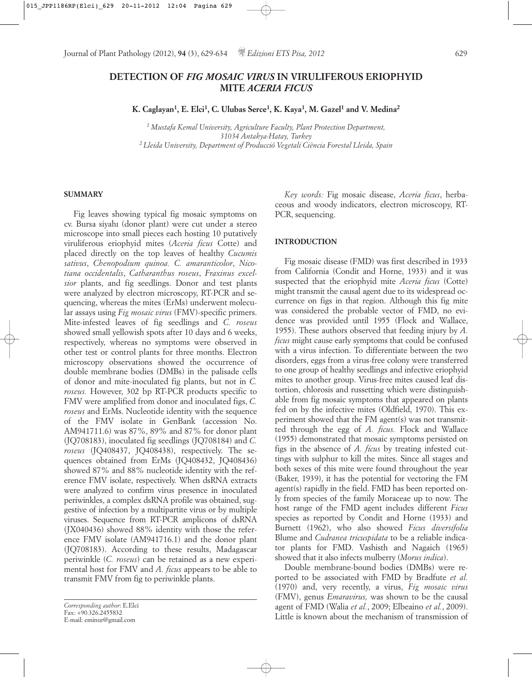# **DETECTION OF** *FIG MOSAIC VIRUS* **IN VIRULIFEROUS ERIOPHYID MITE** *ACERIA FICUS*

**K. Caglayan1, E. Elci1, C. Ulubas Serce1, K. Kaya1, M. Gazel1 and V. Medina2**

*<sup>1</sup> Mustafa Kemal University, Agriculture Faculty, Plant Protection Department, 31034 Antakya-Hatay, Turkey 2 Lleida University, Department of Producció Vegetali Ciència Forestal Lleida, Spain*

# **SUMMARY**

Fig leaves showing typical fig mosaic symptoms on cv. Bursa siyahı (donor plant) were cut under a stereo microscope into small pieces each hosting 10 putatively viruliferous eriophyid mites (*Aceria ficus* Cotte) and placed directly on the top leaves of healthy *Cucumis sativus*, *Chenopodium quinoa. C. amaranticolor*, *Nicotiana occidentalis*, *Catharanthus roseus*, *Fraxinus excelsior* plants, and fig seedlings. Donor and test plants were analyzed by electron microscopy, RT-PCR and sequencing, whereas the mites (ErMs) underwent molecular assays using *Fig mosaic virus* (FMV)-specific primers. Mite-infested leaves of fig seedlings and *C. roseus* showed small yellowish spots after 10 days and 6 weeks, respectively, whereas no symptoms were observed in other test or control plants for three months. Electron microscopy observations showed the occurrence of double membrane bodies (DMBs) in the palisade cells of donor and mite-inoculated fig plants, but not in *C. roseus.* However, 302 bp RT-PCR products specific to FMV were amplified from donor and inoculated figs, *C. roseus* and ErMs. Nucleotide identity with the sequence of the FMV isolate in GenBank (accession No. AM941711.6) was 87%, 89% and 87% for donor plant (JQ708183), inoculated fig seedlings (JQ708184) and *C. roseus* (JQ408437, JQ408438), respectively. The sequences obtained from ErMs (JQ408432, JQ408436) showed 87% and 88% nucleotide identity with the reference FMV isolate, respectively. When dsRNA extracts were analyzed to confirm virus presence in inoculated periwinkles, a complex dsRNA profile was obtained, suggestive of infection by a multipartite virus or by multiple viruses. Sequence from RT-PCR amplicons of dsRNA (JX040436) showed 88% identity with those the reference FMV isolate (AM941716.1) and the donor plant (JQ708183). According to these results, Madagascar periwinkle (*C. roseus*) can be retained as a new experimental host for FMV and *A. ficus* appears to be able to transmit FMV from fig to periwinkle plants.

*Key words:* Fig mosaic disease, *Aceria ficus*, herbaceous and woody indicators, electron microscopy, RT-PCR, sequencing.

# **INTRODUCTION**

Fig mosaic disease (FMD) was first described in 1933 from California (Condit and Horne, 1933) and it was suspected that the eriophyid mite *Aceria ficus* (Cotte) might transmit the causal agent due to its widespread occurrence on figs in that region. Although this fig mite was considered the probable vector of FMD, no evidence was provided until 1955 (Flock and Wallace, 1955). These authors observed that feeding injury by *A. ficus* might cause early symptoms that could be confused with a virus infection. To differentiate between the two disorders, eggs from a virus-free colony were transferred to one group of healthy seedlings and infective eriophyid mites to another group. Virus-free mites caused leaf distortion, chlorosis and russetting which were distinguishable from fig mosaic symptoms that appeared on plants fed on by the infective mites (Oldfield, 1970). This experiment showed that the FM agent(s) was not transmitted through the egg of *A. ficus.* Flock and Wallace (1955) demonstrated that mosaic symptoms persisted on figs in the absence of *A. ficus* by treating infested cuttings with sulphur to kill the mites. Since all stages and both sexes of this mite were found throughout the year (Baker, 1939), it has the potential for vectoring the FM agent(s) rapidly in the field. FMD has been reported only from species of the family Moraceae up to now. The host range of the FMD agent includes different *Ficus* species as reported by Condit and Horne (1933) and Burnett (1962), who also showed *Ficus diversifolia* Blume and *Cudranea tricuspidata* to be a reliable indicator plants for FMD. Vashisth and Nagaich (1965) showed that it also infects mulberry (*Morus indica*).

Double membrane-bound bodies (DMBs) were reported to be associated with FMD by Bradfute *et al.* (1970) and, very recently, a virus, *Fig mosaic virus* (FMV), genus *Emaravirus,* was shown to be the causal agent of FMD (Walia *et al.*, 2009; Elbeaino *et al.*, 2009). Little is known about the mechanism of transmission of

*Corresponding author*: E.Elci Fax: +90.326.2455832 E-mail: eminur@gmail.com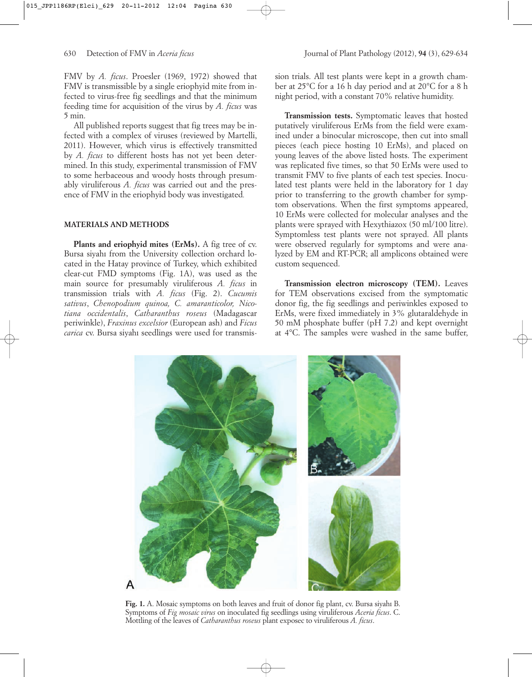FMV by *A. ficus*. Proesler (1969, 1972) showed that FMV is transmissible by a single eriophyid mite from infected to virus-free fig seedlings and that the minimum feeding time for acquisition of the virus by *A. ficus* was 5 min.

All published reports suggest that fig trees may be infected with a complex of viruses (reviewed by Martelli, 2011). However, which virus is effectively transmitted by *A. ficus* to different hosts has not yet been determined. In this study, experimental transmission of FMV to some herbaceous and woody hosts through presumably viruliferous *A. ficus* was carried out and the presence of FMV in the eriophyid body was investigated*.*

# **MATERIALS AND METHODS**

**Plants and eriophyid mites (ErMs).** A fig tree of cv. Bursa siyahı from the University collection orchard located in the Hatay province of Turkey, which exhibited clear-cut FMD symptoms (Fig. 1A), was used as the main source for presumably viruliferous *A. ficus* in transmission trials with *A. ficus* (Fig. 2). *Cucumis sativus*, *Chenopodium quinoa, C. amaranticolor, Nicotiana occidentalis*, *Catharanthus roseus* (Madagascar periwinkle), *Fraxinus excelsior* (European ash) and *Ficus carica* cv. Bursa siyahı seedlings were used for transmission trials. All test plants were kept in a growth chamber at 25°C for a 16 h day period and at 20°C for a 8 h night period, with a constant 70% relative humidity.

**Transmission tests.** Symptomatic leaves that hosted putatively viruliferous ErMs from the field were examined under a binocular microscope, then cut into small pieces (each piece hosting 10 ErMs), and placed on young leaves of the above listed hosts. The experiment was replicated five times, so that 50 ErMs were used to transmit FMV to five plants of each test species. Inoculated test plants were held in the laboratory for 1 day prior to transferring to the growth chamber for symptom observations. When the first symptoms appeared, 10 ErMs were collected for molecular analyses and the plants were sprayed with Hexythiazox (50 ml/100 litre). Symptomless test plants were not sprayed. All plants were observed regularly for symptoms and were analyzed by EM and RT-PCR; all amplicons obtained were custom sequenced.

**Transmission electron microscopy (TEM).** Leaves for TEM observations excised from the symptomatic donor fig, the fig seedlings and periwinkles exposed to ErMs, were fixed immediately in 3% glutaraldehyde in 50 mM phosphate buffer (pH 7.2) and kept overnight at 4°C. The samples were washed in the same buffer,



**Fig. 1.** A. Mosaic symptoms on both leaves and fruit of donor fig plant, cv. Bursa siyahı B. Symptoms of *Fig mosaic virus* on inoculated fig seedlings using viruliferous *Aceria ficus*. C. Mottling of the leaves of *Catharanthus roseus* plant exposec to viruliferous *A. ficus*.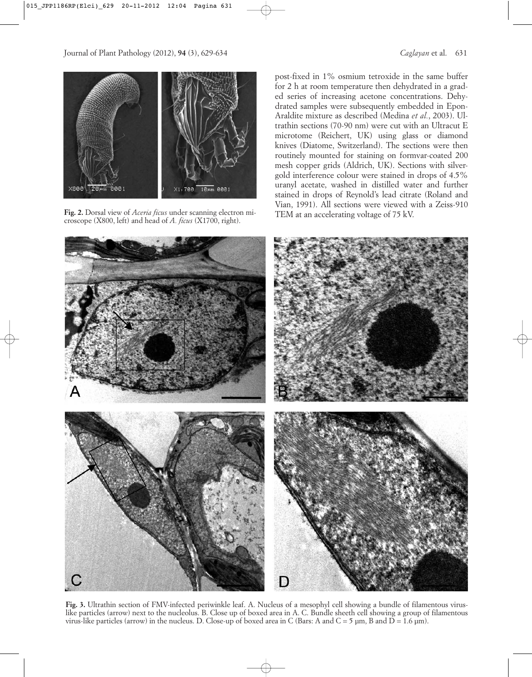

Fig. 2. Dorsal view of *Aceria ficus* under scanning electron mi-<br>
TEM at an accelerating voltage of 75 kV. croscope (X800, left) and head of *A. ficus* (X1700, right).

post-fixed in 1% osmium tetroxide in the same buffer for 2 h at room temperature then dehydrated in a graded series of increasing acetone concentrations. Dehydrated samples were subsequently embedded in Epon-Araldite mixture as described (Medina *et al.*, 2003). Ultrathin sections (70-90 nm) were cut with an Ultracut E microtome (Reichert, UK) using glass or diamond knives (Diatome, Switzerland). The sections were then routinely mounted for staining on formvar-coated 200 mesh copper grids (Aldrich, UK). Sections with silvergold interference colour were stained in drops of 4.5% uranyl acetate, washed in distilled water and further stained in drops of Reynold's lead citrate (Roland and Vian, 1991). All sections were viewed with a Zeiss-910



**Fig. 3.** Ultrathin section of FMV-infected periwinkle leaf. A. Nucleus of a mesophyl cell showing a bundle of filamentous viruslike particles (arrow) next to the nucleolus. B. Close up of boxed area in A. C. Bundle sheeth cell showing a group of filamentous virus-like particles (arrow) in the nucleus. D. Close-up of boxed area in C (Bars: A and  $C = 5 \mu m$ , B and  $D = 1.6 \mu m$ ).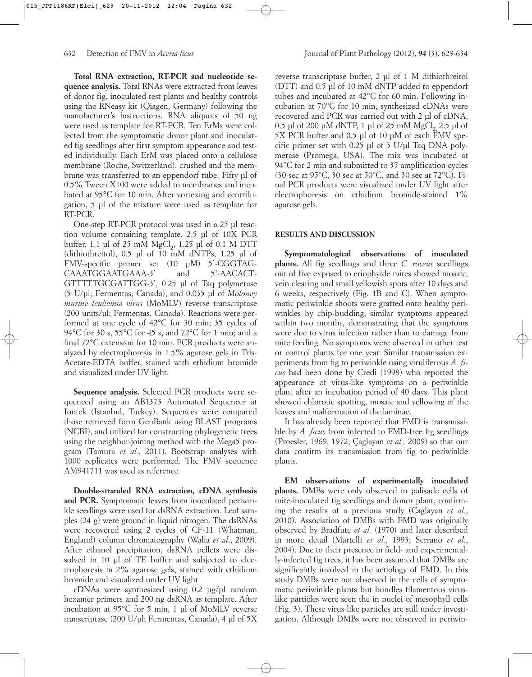**Total RNA extraction, RT-PCR and nucleotide sequence analysis.** Total RNAs were extracted from leaves of donor fig, inoculated test plants and healthy controls using the RNeasy kit (Qiagen, Germany) following the manufacturer's instructions. RNA aliquots of 50 ng were used as template for RT-PCR. Ten ErMs were collected from the symptomatic donor plant and inoculated fig seedlings after first symptom appearance and tested individually. Each ErM was placed onto a cellulose membrane (Roche, Switzerland), crushed and the membrane was transferred to an eppendorf tube. Fifty µl of 0.5% Tween X100 were added to membranes and incubated at 95°C for 10 min. After vortexing and centrifugation, 5 µl of the mixture were used as template for RT-PCR.

One-step RT-PCR protocol was used in a 25 µl reaction volume containing template, 2.5 µl of 10X PCR buffer, 1.1 µl of 25 mM  $MgCl<sub>2</sub>$ , 1.25 µl of 0.1 M DTT (dithiothreitol), 0.5 µl of 10 mM dNTPs, 1.25 µl of FMV-specific primer set (10 µM) 5'-CGGTAG-CAAATGGAATGAAA-3' and 5'-AACACT-GTTTTTGCGATTGG-3', 0.25 µl of Taq polymerase (5 U/µl; Fermentas, Canada), and 0.035 µl of *Moloney murine leukemia virus* (MoMLV) reverse transcriptase (200 units/µl; Fermentas, Canada). Reactions were performed at one cycle of 42°C for 30 min; 35 cycles of 94°C for 30 s, 55°C for 45 s, and 72°C for 1 min; and a final 72°C extension for 10 min. PCR products were analyzed by electrophoresis in 1.5% agarose gels in Tris-Acetate-EDTA buffer, stained with ethidium bromide and visualized under UV light.

**Sequence analysis.** Selected PCR products were sequenced using an AB1373 Automated Sequencer at Iontek (Istanbul, Turkey). Sequences were compared those retrieved form GenBank using BLAST programs (NCBI), and utilized for constructing phylogenetic trees using the neighbor-joining method with the Mega5 program (Tamura *et al.*, 2011). Bootstrap analyses with 1000 replicates were performed. The FMV sequence AM941711 was used as reference.

**Double-stranded RNA extraction, cDNA synthesis and PCR.** Symptomatic leaves from inoculated periwinkle seedlings were used for dsRNA extraction. Leaf samples (24 g) were ground in liquid nitrogen. The dsRNAs were recovered using 2 cycles of CF-11 (Whatman, England) column chromatography (Walia *et al*., 2009). After ethanol precipitation, dsRNA pellets were dissolved in 10 µl of TE buffer and subjected to electrophoresis in 2% agarose gels, stained with ethidium bromide and visualized under UV light.

cDNAs were synthesized using 0.2 µg/µl random hexamer primers and 200 ng dsRNA as template. After incubation at 95°C for 5 min, 1 µl of MoMLV reverse transcriptase (200 U/µl; Fermentas, Canada), 4 µl of 5X reverse transcriptase buffer, 2 µl of 1 M dithiothreitol (DTT) and 0.5 µl of 10 mM dNTP added to eppendorf tubes and incubated at 42°C for 60 min. Following incubation at 70°C for 10 min, synthesized cDNAs were recovered and PCR was carried out with 2 µl of cDNA,  $0.5$  µl of 200 µM dNTP, 1 µl of 25 mM MgCl<sub>2</sub>, 2.5 µl of 5X PCR buffer and 0.5 µl of 10 µM of each FMV specific primer set with  $0.25$  µl of  $5$  U/µl Taq DNA polymerase (Promega, USA). The mix was incubated at 94°C for 2 min and submitted to 35 amplification cycles (30 sec at 95°C, 30 sec at 50°C, and 30 sec at 72°C). Final PCR products were visualized under UV light after electrophoresis on ethidium bromide-stained 1% agarose gels.

# **RESULTS AND DISCUSSION**

**Symptomatological observations of inoculated plants.** All fig seedlings and three *C. roseus* seedlings out of five exposed to eriophyide mites showed mosaic, vein clearing and small yellowish spots after 10 days and 6 weeks, respectively (Fig. 1B and C). When symptomatic periwinkle shoots were grafted onto healthy periwinkles by chip-budding, similar symptoms appeared within two months, demonstrating that the symptoms were due to virus infection rather than to damage from mite feeding. No symptoms were observed in other test or control plants for one year. Similar transmission experiments from fig to periwinkle using viruliferous *A. ficus* had been done by Credi (1998) who reported the appearance of virus-like symptoms on a periwinkle plant after an incubation period of 40 days. This plant showed chlorotic spotting, mosaic and yellowing of the leaves and malformation of the laminae.

It has already been reported that FMD is transmissible by *A. ficus* from infected to FMD-free fig seedlings (Proesler, 1969, 1972; Çaglayan *et al.,* 2009) so that our data confirm its transmission from fig to periwinkle plants.

**EM observations of experimentally inoculated plants.** DMBs were only observed in palisade cells of mite-inoculated fig seedlings and donor plant, confirming the results of a previous study (Caglayan *et al.*, 2010). Association of DMBs with FMD was originally observed by Bradfute *et al.* (1970) and later described in more detail (Martelli *et al.*, 1993; Serrano *et al.*, 2004). Due to their presence in field- and experimentally-infected fig trees, it has been assumed that DMBs are significantly involved in the aetiology of FMD. In this study DMBs were not observed in the cells of symptomatic periwinkle plants but bundles filamentous viruslike particles were seen the in nuclei of mesophyll cells (Fig. 3). These virus-like particles are still under investigation. Although DMBs were not observed in periwin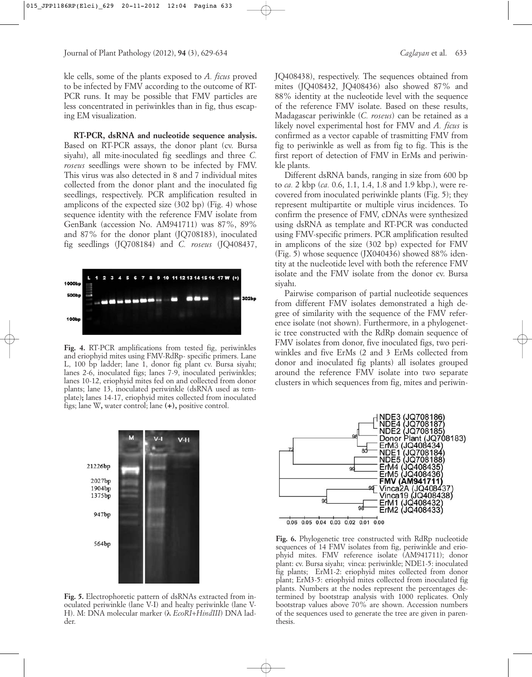kle cells, some of the plants exposed to *A. ficus* proved to be infected by FMV according to the outcome of RT-PCR runs. It may be possible that FMV particles are less concentrated in periwinkles than in fig, thus escaping EM visualization.

**RT-PCR, dsRNA and nucleotide sequence analysis.** Based on RT-PCR assays, the donor plant (cv. Bursa siyahı), all mite-inoculated fig seedlings and three *C. roseus* seedlings were shown to be infected by FMV. This virus was also detected in 8 and 7 individual mites collected from the donor plant and the inoculated fig seedlings, respectively. PCR amplification resulted in amplicons of the expected size (302 bp) (Fig. 4) whose sequence identity with the reference FMV isolate from GenBank (accession No. AM941711) was 87%, 89% and 87% for the donor plant (JQ708183), inoculated fig seedlings (JQ708184) and *C. roseus* (JQ408437,



**Fig. 4.** RT-PCR amplifications from tested fig, periwinkles and eriophyid mites using FMV-RdRp- specific primers. Lane L, 100 bp ladder; lane 1, donor fig plant cv. Bursa siyahı; lanes 2-6, inoculated figs; lanes 7-9, inoculated periwinkles; lanes 10-12, eriophyid mites fed on and collected from donor plants; lane 13, inoculated periwinkle (dsRNA used as template)**;** lanes 14-17, eriophyid mites collected from inoculated figs; lane W**,** water control; lane **(+),** positive control.



**Fig. 5.** Electrophoretic pattern of dsRNAs extracted from inoculated periwinkle (lane V-I) and healty periwinkle (lane V-H). M: DNA molecular marker (λ *EcoRI*+*HindIII*) DNA ladder.

JQ408438), respectively. The sequences obtained from mites (JQ408432, JQ408436) also showed 87% and 88% identity at the nucleotide level with the sequence of the reference FMV isolate. Based on these results, Madagascar periwinkle (*C. roseus*) can be retained as a likely novel experimental host for FMV and *A. ficus* is confirmed as a vector capable of trasmitting FMV from fig to periwinkle as well as from fig to fig. This is the first report of detection of FMV in ErMs and periwinkle plants.

Different dsRNA bands, ranging in size from 600 bp to *ca.* 2 kbp (*ca.* 0.6, 1.1, 1.4, 1.8 and 1.9 kbp.), were recovered from inoculated periwinkle plants (Fig. 5); they represent multipartite or multiple virus incidences. To confirm the presence of FMV, cDNAs were synthesized using dsRNA as template and RT-PCR was conducted using FMV-specific primers. PCR amplification resulted in amplicons of the size (302 bp) expected for FMV (Fig. 5) whose sequence (JX040436) showed 88% identity at the nucleotide level with both the reference FMV isolate and the FMV isolate from the donor cv. Bursa siyahı.

Pairwise comparison of partial nucleotide sequences from different FMV isolates demonstrated a high degree of similarity with the sequence of the FMV reference isolate (not shown). Furthermore, in a phylogenetic tree constructed with the RdRp domain sequence of FMV isolates from donor, five inoculated figs, two periwinkles and five ErMs (2 and 3 ErMs collected from donor and inoculated fig plants) all isolates grouped around the reference FMV isolate into two separate clusters in which sequences from fig, mites and periwin-



Fig. 6. Phylogenetic tree constructed with RdRp nucleotide sequences of 14 FMV isolates from fig, periwinkle and eriophyid mites. FMV reference isolate (AM941711); donor plant: cv. Bursa siyahı; vinca: periwinkle; NDE1-5: inoculated fig plants; ErM1-2: eriophyid mites collected from donor plant; ErM3-5: eriophyid mites collected from inoculated fig plants. Numbers at the nodes represent the percentages determined by bootstrap analysis with 1000 replicates. Only bootstrap values above 70% are shown. Accession numbers of the sequences used to generate the tree are given in parenthesis.